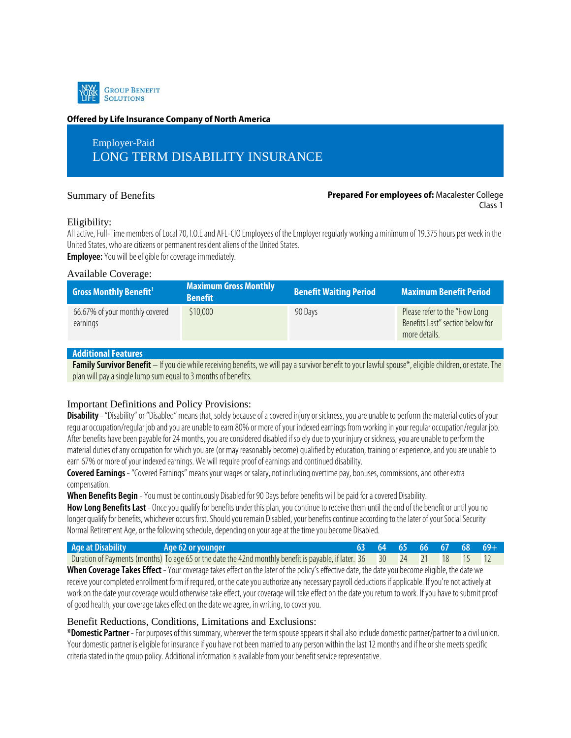

#### **Offered by Life Insurance Company of North America**

# Employer-Paid LONG TERM DISABILITY INSURANCE

#### Summary of Benefits **Prepared For employees of:** Macalester College Class 1

#### Eligibility:

All active, Full-Time members of Local 70, I.O.E and AFL-CIO Employees of the Employer regularly working a minimum of 19.375 hours per week in the United States, who are citizens or permanent resident aliens of the United States. **Employee:**You will be eligible for coverage immediately.

#### Available Coverage:

| <b>Gross Monthly Benefit1</b>              | <b>Maximum Gross Monthly</b><br><b>Benefit</b> | <b>Benefit Waiting Period</b> | <b>Maximum Benefit Period</b>                                                       |
|--------------------------------------------|------------------------------------------------|-------------------------------|-------------------------------------------------------------------------------------|
| 66.67% of your monthly covered<br>earnings | \$10,000                                       | 90 Days                       | Please refer to the "How Long"<br>Benefits Last" section below for<br>more details. |

# **Additional Features**

**Family Survivor Benefit** – If you die while receiving benefits, we will pay a survivor benefit to your lawful spouse\*, eligible children, or estate. The plan will pay a single lump sum equal to 3 months of benefits.

# Important Definitions and Policy Provisions:

**Disability** - "Disability" or "Disabled" means that, solely because of a covered injury or sickness, you are unable to perform the material duties of your regular occupation/regular job and you are unable to earn 80% or more of your indexed earnings from working in your regular occupation/regular job. After benefits have been payable for 24 months, you are considered disabled if solely due to your injury or sickness, you are unable to perform the material duties of any occupation for which you are (or may reasonably become) qualified by education, training or experience, and you are unable to earn 67% or more of your indexed earnings. We will require proof of earnings and continued disability.

**Covered Earnings**- "Covered Earnings" means your wages or salary, not including overtime pay, bonuses, commissions, and other extra compensation.

**When Benefits Begin** -You must be continuously Disabled for 90 Days before benefits will be paid for a covered Disability.

How Long Benefits Last - Once you qualify for benefits under this plan, you continue to receive them until the end of the benefit or until you no longer qualify for benefits, whichever occurs first. Should you remain Disabled, your benefits continue according to the later of your Social Security Normal Retirement Age, or the following schedule, depending on your age at the time you become Disabled.

| Duration of Payments (months) To age 65 or the date the 42nd monthly benefit is payable, if later. 36 30 24 21 18 15 12 |  |
|-------------------------------------------------------------------------------------------------------------------------|--|

**When Coverage Takes Effect** - Your coverage takes effect on the later of the policy's effective date, the date you become eligible, the date we receive your completed enrollment form if required, or the date you authorize any necessary payroll deductions if applicable. If you're notactively at work on the date your coverage would otherwise take effect, your coverage will take effect on the date you return to work. If you have to submit proof of good health, your coverage takes effect on the date we agree, in writing, to cover you.

# Benefit Reductions, Conditions, Limitations and Exclusions:

**\*Domestic Partner** -For purposes of this summary, wherever the term spouse appears it shall also include domestic partner/partner to a civil union. Your domestic partner is eligible for insurance if you have not been married to any person within the last 12 months and if he or she meets specific criteria stated in the group policy. Additional information is available from your benefit service representative.